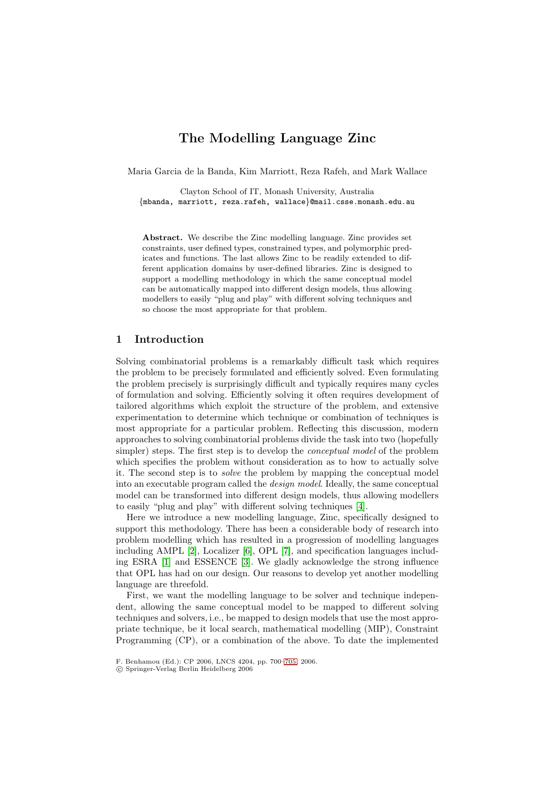# **The Modelling Language Zinc**

Maria Garcia de la Banda, Kim Marriott, Reza Rafeh, and Mark Wallace

Clayton School of IT, Monash University, Australia {mbanda, marriott, reza.rafeh, wallace}@mail.csse.monash.edu.au

**Abstract.** We describe the Zinc modelling language. Zinc provides set constraints, user defined types, constrained types, and polymorphic predicates and functions. The last allows Zinc to be readily extended to different application domains by user-defined libraries. Zinc is designed to support a modelling methodology in which the same conceptual model can be automatically mapped into different design models, thus allowing modellers to easily "plug and play" with different solving techniques and so choose the most appropriate for that problem.

### **1 Introduction**

Solving combinatorial problems is a remarkably difficult task which requires the problem to be precisely formulated and efficiently solved. Even formulating the problem precisely is surprisingly difficult and typically requires many cycles of formulation and solving. Efficiently solving it often requires development of tailored algorithms which exploit the structure of the problem, and extensive experimentation to determine which technique or combination of techniques is most appropriate for a particular problem. Reflecting this discussion, modern approaches to solving combinatorial problems divide the task into two (hopefully simpler) steps. The first step is to develop the *conceptual model* of the problem which specifies the problem without consideration as to how to actually solve it. The second step is to solve the problem by mapping the conceptual model into an executable program called the design model. Ideally, the same conceptual model can be transformed into different design models, thus allowing modellers to easily "plug and play" with different solving techniques [4].

Here we introduce a new modelling language, Zinc, specifically designed to support this methodology. There has been a considerable body of research into problem modelling which has resulted in a progression of modelling languages including AMPL [2], Localizer [6], OPL [7], and specificati[on](#page-5-0) languages including ESRA [1] and ESSENCE [3]. We gladly acknowledge the strong influence that OPL has had on our design. Our reasons to develop yet another modelling language are threefold.

First, we want [th](#page-4-0)e modellin[g l](#page-5-1)anguag[e](#page-5-2) to be solver and technique independent, allow[ing](#page-4-1) the same conce[pt](#page-4-2)ual model to be mapped to different solving techniques and solvers, i.e., be mapped to design models that use the most appropriate technique, be it local search, mathematical modelling (MIP), Constraint Programming (CP), or a combination of the above. To date the implemented

F. Benhamou (Ed.): CP 2006, LNCS 4204, pp. 700–705, 2006.

<sup>-</sup>c Springer-Verlag Berlin Heidelberg 2006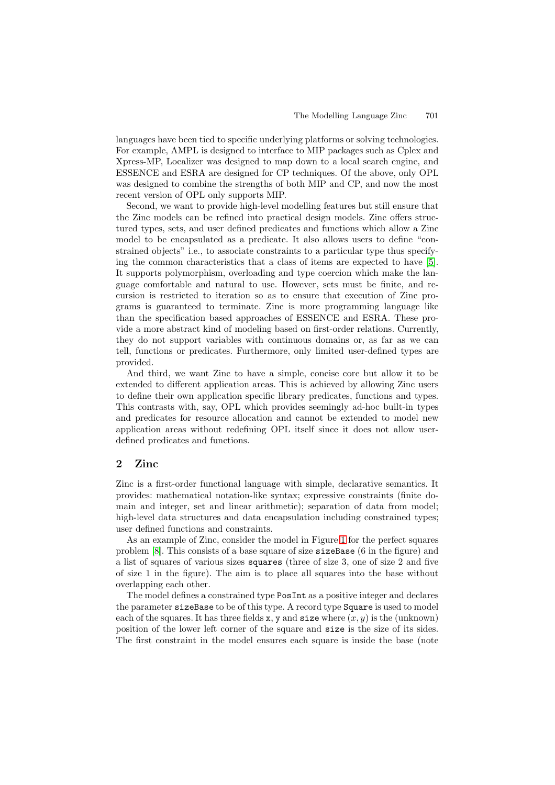languages have been tied to specific underlying platforms or solving technologies. For example, AMPL is designed to interface to MIP packages such as Cplex and Xpress-MP, Localizer was designed to map down to a local search engine, and ESSENCE and ESRA are designed for CP techniques. Of the above, only OPL was designed to combine the strengths of both MIP and CP, and now the most recent version of OPL only supports MIP.

Second, we want to provide high-level modelling features but still ensure that the Zinc models can be refined into practical design models. Zinc offers structured types, sets, and user defined predicates and functions which allow a Zinc model to be encapsulated as a predicate. It also allows users to define "constrained objects" i.e., to associate constraints to a particular type thus specifying the common characteristics that a class of items are expected to have [5]. It supports polymorphism, overloading and type coercion which make the language comfortable and natural to use. However, sets must be finite, and recursion is restricted to iteration so as to ensure that execution of Zinc programs is guaranteed to terminate. Zinc is more programming language l[ike](#page-5-3) than the specification based approaches of ESSENCE and ESRA. These provide a more abstract kind of modeling based on first-order relations. Currently, they do not support variables with continuous domains or, as far as we can tell, functions or predicates. Furthermore, only limited user-defined types are provided.

And third, we want Zinc to have a simple, concise core but allow it to be extended to different application areas. This is achieved by allowing Zinc users to define their own application specific library predicates, functions and types. This contrasts with, say, OPL which provides seemingly ad-hoc built-in types and predicates for resource allocation and cannot be extended to model new application areas without redefining OPL itself since it does not allow userdefined predicates and functions.

## **2 Zinc**

Zinc is a first-order functional language with simple, declarative semantics. It provides: mathematical notation-like syntax; expressive constraints (finite domain and integer, set and linear arithmetic); separation of data from model; high-level data structures and data encapsulation including constrained types; user defined functions and constraints.

As an example of Zinc, consider the model in Figure 1 for the perfect squares problem [8]. This consists of a base square of size sizeBase (6 in the figure) and a list of squares of various sizes squares (three of size 3, one of size 2 and five of size 1 in the figure). The aim is to place all squares into the base without overlapping each other.

The m[od](#page-5-4)el defines a constrained type PosInt as a positive integer and declares the parameter sizeBase to be of this type. A record type Square is used to model each of the squares. It has three fields x, y and  $size$  where  $(x, y)$  is the (unknown) position of the lower left corner of the square and size is the size of its sides. The first constraint in the model ensures each square is inside the base (note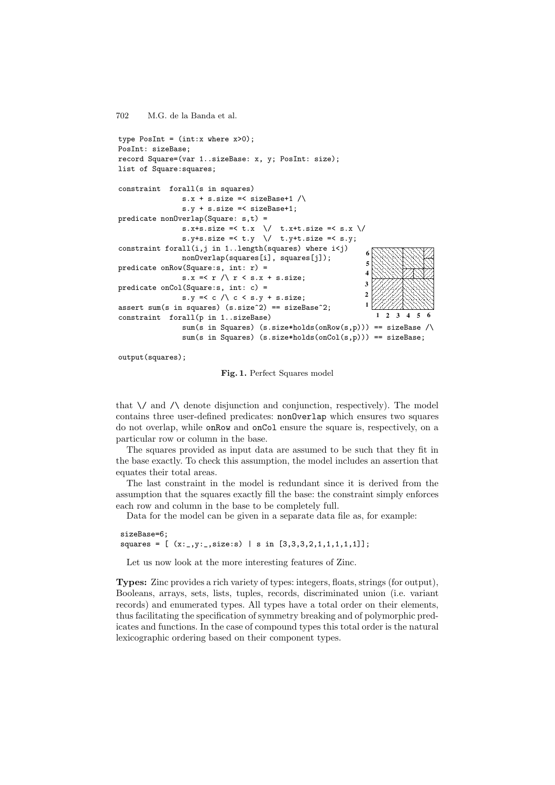```
702 M.G. de la Banda et al.
type PostInt = (int:x where x>0);PosInt: sizeBase;
record Square=(var 1..sizeBase: x, y; PosInt: size);
list of Square:squares;
constraint forall(s in squares)
               s.x + s.size =< sizeBase+1 \lands.y + s.size =< sizeBase+1;
predicate nonOverlap(Square: s,t) =
               s.x+s.size =< t.x \/ t.x+t.size =< s.x \/
               s.y+s.size =< t.y \setminus t.y+t.size =< s.y;
constraint forall(i,j in 1..length(squares) where i<j)
               nonOverlap(squares[i], squares[j]);
predicate onRow(Square:s, int: r) =
               s.x =< r / \ r < s.x + s.size;
predicate onCol(Square:s, int: c) =
               s.y =< c \wedge c < s.y + s.size;
assert sum(s in squares) (s.size^2) == sizeBase^2;constraint forall(p in 1..sizeBase)
               sum(s in Squares) (s.size*holds(onRow(s,p))) == sizeBase \wedgesum(s in Squares) (s.size*holds(onCol(s,p))) == sizeBase;
                                                            5
                                                            6
                                                            4
                                                            3
                                                            2
                                                            1
                                                               1 2 3 4 5 6
```
output(squares);

<span id="page-2-0"></span>

that  $\setminus$  and  $\setminus$  denote disjunction and conjunction, respectively). The model contains three user-defined predicates: nonOverlap which ensures two squares do not overlap, while onRow and onCol ensure the square is, respectively, on a particular row or column in the base.

The squares provided as input data are assumed to be such that they fit in the base exactly. To check this assumption, the model includes an assertion that equates their total areas.

The last constraint in the model is redundant since it is derived from the assumption that the squares exactly fill the base: the constraint simply enforces each row and column in the base to be completely full.

Data for the model can be given in a separate data file as, for example:

```
sizeBase=6;
squares = [(x:-,y:-,size:s) | s in [3,3,3,2,1,1,1,1,1]];
```
Let us now look at the more interesting features of Zinc.

**Types:** Zinc provides a rich variety of types: integers, floats, strings (for output), Booleans, arrays, sets, lists, tuples, records, discriminated union (i.e. variant records) and enumerated types. All types have a total order on their elements, thus facilitating the specification of symmetry breaking and of polymorphic predicates and functions. In the case of compound types this total order is the natural lexicographic ordering based on their component types.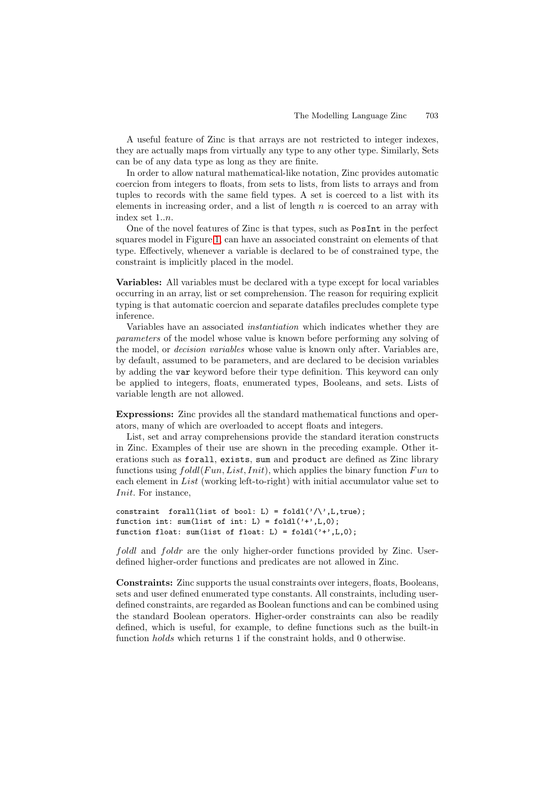A useful feature of Zinc is that arrays are not restricted to integer indexes, they are actually maps from virtually any type to any other type. Similarly, Sets can be of any data type as long as they are finite.

In order to allow natural mathematical-like notation, Zinc provides automatic coercion from integers to floats, from sets to lists, from lists to arrays and from tuples to records with the same field types. A set is coerced to a list with its elements in increasing order, and a list of length  $n$  is coerced to an array with index set 1..n.

One of the novel features of Zinc is that types, such as PosInt in the perfect squares model in Figure 1, can have an associated constraint on elements of that type. Effectively, whenever a variable is declared to be of constrained type, the constraint is implicitly placed in the model.

**Variables:** All variable[s m](#page-2-0)ust be declared with a type except for local variables occurring in an array, list or set comprehension. The reason for requiring explicit typing is that automatic coercion and separate datafiles precludes complete type inference.

Variables have an associated instantiation which indicates whether they are parameters of the model whose value is known before performing any solving of the model, or *decision variables* whose value is known only after. Variables are, by default, assumed to be parameters, and are declared to be decision variables by adding the var keyword before their type definition. This keyword can only be applied to integers, floats, enumerated types, Booleans, and sets. Lists of variable length are not allowed.

**Expressions:** Zinc provides all the standard mathematical functions and operators, many of which are overloaded to accept floats and integers.

List, set and array comprehensions provide the standard iteration constructs in Zinc. Examples of their use are shown in the preceding example. Other iterations such as forall, exists, sum and product are defined as Zinc library functions using  $fold(Fun,List,Init)$ , which applies the binary function Fun to each element in List (working left-to-right) with initial accumulator value set to Init. For instance,

```
constraint forall(list of bool: L) = foldl(\sqrt{,L,true);
function int: sum(list of int: L) = foldl('+',L,0);
function float: sum(list of float: L) = foldl('+',L,0);
```
foldl and foldr are the only higher-order functions provided by Zinc. Userdefined higher-order functions and predicates are not allowed in Zinc.

**Constraints:** Zinc supports the usual constraints over integers, floats, Booleans, sets and user defined enumerated type constants. All constraints, including userdefined constraints, are regarded as Boolean functions and can be combined using the standard Boolean operators. Higher-order constraints can also be readily defined, which is useful, for example, to define functions such as the built-in function holds which returns 1 if the constraint holds, and 0 otherwise.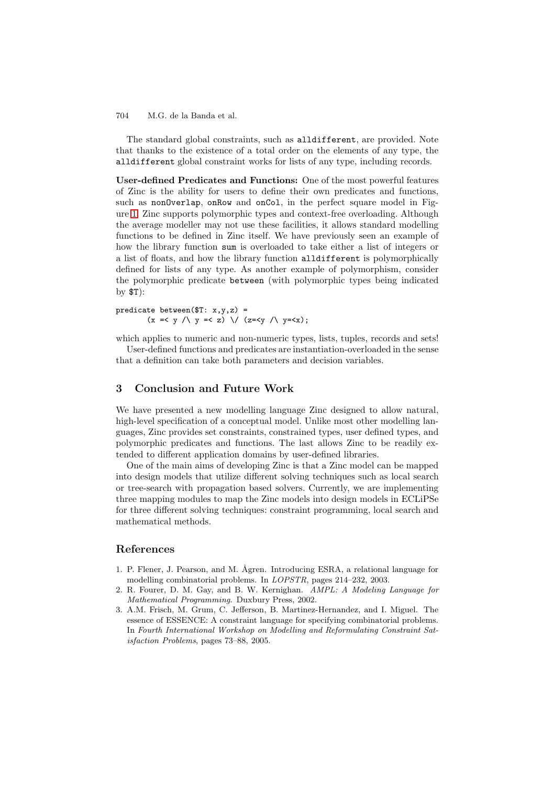704 M.G. de la Banda et al.

The standard global constraints, such as alldifferent, are provided. Note that thanks to the existence of a total order on the elements of any type, the alldifferent global constraint works for lists of any type, including records.

**User-defined Predicates and Functions:** One of the most powerful features of Zinc is the ability for users to define their own predicates and functions, such as nonOverlap, onRow and onCol, in the perfect square model in Figure 1. Zinc supports polymorphic types and context-free overloading. Although the average modeller may not use these facilities, it allows standard modelling functions to be defined in Zinc itself. We have previously seen an example of how the library function sum is overloaded to take either a list of integers or a li[st](#page-2-0) of floats, and how the library function alldifferent is polymorphically defined for lists of any type. As another example of polymorphism, consider the polymorphic predicate between (with polymorphic types being indicated by \$T):

predicate between( $T: x,y,z$ ) =  $(x \le y \wedge y \le z) \vee (z \le y \wedge y \le x);$ 

which applies to numeric and non-numeric types, lists, tuples, records and sets!

User-defined functions and predicates are instantiation-overloaded in the sense that a definition can take both parameters and decision variables.

### **3 Conclusion and Future Work**

We have presented a new modelling language Zinc designed to allow natural, high-level specification of a conceptual model. Unlike most other modelling languages, Zinc provides set constraints, constrained types, user defined types, and polymorphic predicates and functions. The last allows Zinc to be readily extended to different application domains by user-defined libraries.

One of the main aims of developing Zinc is that a Zinc model can be mapped into design models that utilize different solving techniques such as local search or tree-search with propagation based solvers. Currently, we are implementing three mapping modules to map the Zinc models into design models in ECLiPSe for three different solving techniques: constraint programming, local search and mathematical methods.

### **References**

- 1. P. Flener, J. Pearson, and M. Ågren. Introducing ESRA, a relational language for modelling combinatorial problems. In LOPSTR, pages 214–232, 2003.
- 2. R. Fourer, D. M. Gay, and B. W. Kernighan. AMPL: A Modeling Language for Mathematical Programming. Duxbury Press, 2002.
- <span id="page-4-2"></span><span id="page-4-1"></span><span id="page-4-0"></span>3. A.M. Frisch, M. Grum, C. Jefferson, B. Martinez-Hernandez, and I. Miguel. The essence of ESSENCE: A constraint language for specifying combinatorial problems. In Fourth International Workshop on Modelling and Reformulating Constraint Satisfaction Problems, pages 73–88, 2005.